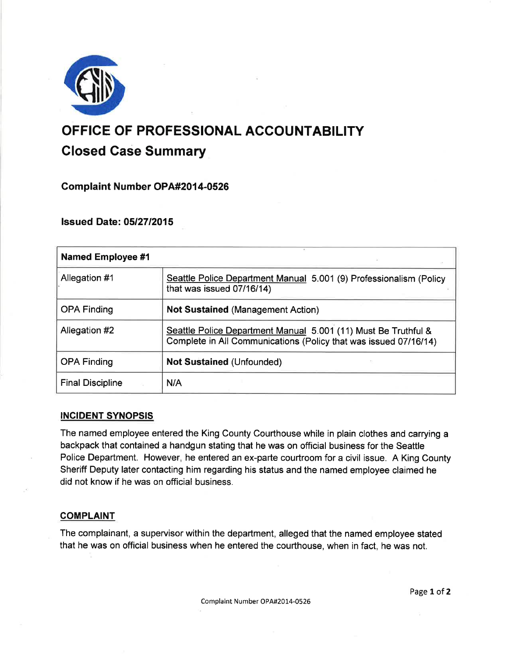

# OFFICE OF PROFESSIONAL ACCOUNTABILITY Closed Case Summary

Complaint Number OPA#201 4-0526

lssued Date: 05127 12015

| <b>Named Employee #1</b> |                                                                                                                                    |
|--------------------------|------------------------------------------------------------------------------------------------------------------------------------|
| Allegation #1            | Seattle Police Department Manual 5.001 (9) Professionalism (Policy<br>that was issued 07/16/14)                                    |
| <b>OPA Finding</b>       | <b>Not Sustained (Management Action)</b>                                                                                           |
| Allegation #2            | Seattle Police Department Manual 5.001 (11) Must Be Truthful &<br>Complete in All Communications (Policy that was issued 07/16/14) |
| <b>OPA Finding</b>       | <b>Not Sustained (Unfounded)</b>                                                                                                   |
| <b>Final Discipline</b>  | N/A                                                                                                                                |

# INGIDENT SYNOPSIS

The named employee entered the King County Courthouse while in plain clothes and carrying a backpack that contained a handgun stating that he was on official business for the Seattle Police Department. However, he entered an ex-parte courtroom for a civil issue. A King County Sheriff Deputy later contacting him regarding his status and the named employee claimed he did not know if he was on official business.

# **COMPLAINT**

The complainant, a supervisor within the department, alleged that the named employee stated that he was on official business when he entered the courthouse, when in fact, he was not.

Page 1 of 2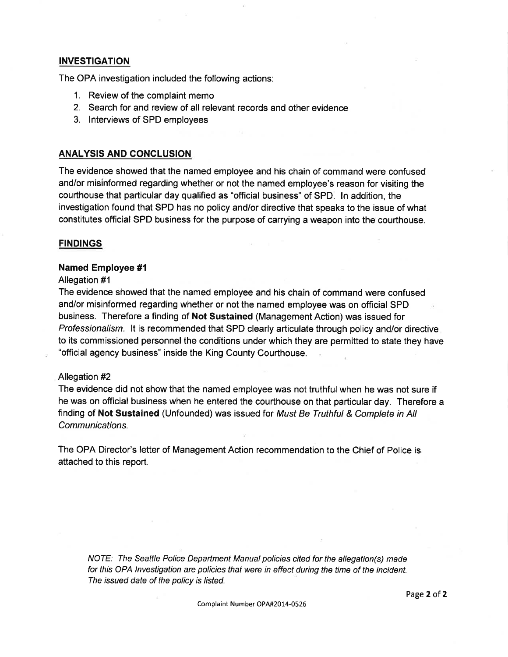## INVESTIGATION

The OPA investigation included the following actions:

- 1. Review of the complaint memo
- 2. Search for and review of all relevant records and other evidence
- 3. lnterviews of SPD employees

## ANALYSIS AND CONCLUSION

The evidence showed that the named employee and his chain of command were confused and/or misinformed regarding whether or not the named employee's reason for visiting the courthouse that particular day qualified as "official business" of SPD. ln addition, the investigation found that SPD has no policy and/or directive that speaks to the issue of what constitutes otficial SPD business for the purpose of carrying a weapon into the courthouse.

## **FINDINGS**

#### Named Employee #1

#### Allegation #1

The evidence showed that the named employee and his chain of command were confused and/or misinformed regarding whether or not the named employee was on official SPD business. Therefore a finding of Not Sustained (Management Action) was issued for Professionalism. lt is recommended that SPD clearly articulate through policy and/or directive to its commissioned personnel the conditions under which they are permitted to state they have "official agency business" inside the King County Courthouse.

#### Allegation #2

The evidence did not show that the named employee was not truthful when he was not sure if he was on official business when he entered the courthouse on that particular day. Therefore a finding of Not Sustained (Unfounded) was issued for Must Be Truthful & Complete in All Communications.

The OPA Director's letter of Management Action recommendation to the Chief of Police is attached to this report.

NOTE: The Seattle Police Department Manual policies cited for the allegation(s) made for this OPA lnvestigation are policies that were in effect during the time of the incident. The issued date of the policy is listed.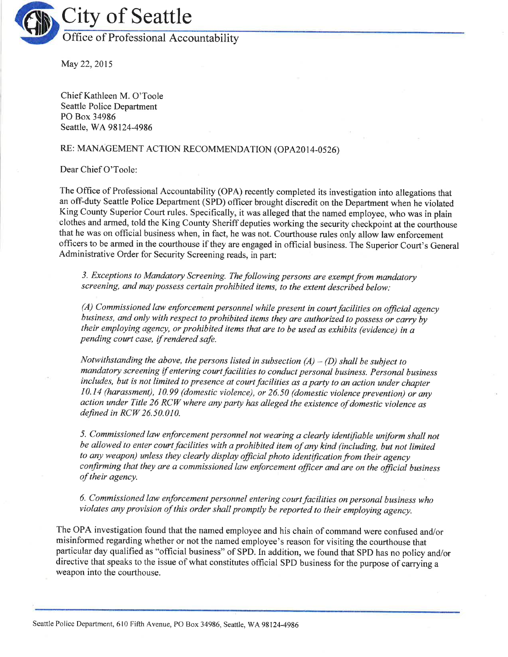

May 22,2015

Chief Kathleen M. O'Toole Seattle Police Department PO Box 34986 Seattle, WA98124-4986

# RE: MANAGEMENT ACTION RECOMMENDATION (OPA2014-0526)

Dear Chief O'Toole:

The Office of Professional Accountability (OPA) recently completed its investigation into allegations that an off-duty Seattle Police Department (SPD) officer brought discredit on the Department when he violated King County Superior Court rules. Specifically, it was alleged that the named employee, who was in plain clothes and armed, told the King County Sheriff deputies working the securify checkpoint at the courthouse that he was on official business when, in fact, he was not. Courthouse rules only allow law enforcement officers to be armed in the courthouse if they are engaged in official business. The Superior Court's General Administrative Order for Security Screening reads, in part:

3. Exceptions to Mandatory Screening. The following persons are exempt from mandatory screening, and may possess certain prohibited items, to the extent described below:

 $(A)$  Commissioned law enforcement personnel while present in court facilities on official agency business, and only with respect to prohibited items they are authorized to possess or carry by their employing agency, or prohibited items that are to be used as exhibits (evidence) in a pending court case, if rendered safe.

Notwithstanding the above, the persons listed in subsection  $(A) - (D)$  shall be subject to mandatory screening if entering court facilities to conduct personal business. Personal business includes, but is not limited to presence at court facilities as a party to an action under chapter 10.14 (harassment), 10.99 (domestic violence), or 26.50 (domestic violence prevention) or any action under Title 26 RCW where any party has alleged the existence of domestic violence as defined in  $RCW$  26.50.010.

5. Commissioned law enforcement personnel not wearing a clearly identifiable uniform shall not be allowed to enter court facilities with a prohibited item of any kind (including, but not limited to any weapon) unless they clearly display official photo identification from their agency confirming that they are a commissioned law enforcement officer and are on the official business of their agency.

6. Commissioned law enforcement personnel entering court facilities on personal business who violates any provision of this order shall promptly be reported to their employing agency.

The OPA investigation found that the named employee and his chain of command were confused and/or misinformed regarding whether or not the named employee's reason for visiting the courthouse that particular day qualified as "official business" of SPD. In addition, we found that SPD has no policy and/or directive that speaks to the issue of what constitutes official SPD business for the purpose of carrying <sup>a</sup> weapon into the courthouse.